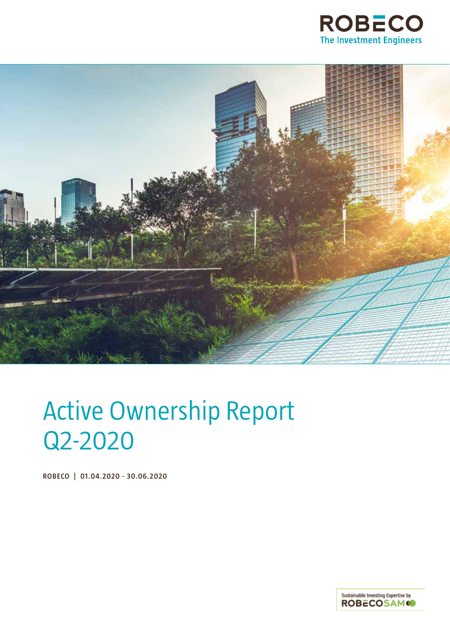



## Active Ownership Report Q2-2020

**ROBECO | 01.04.2020 - 30.06.2020**

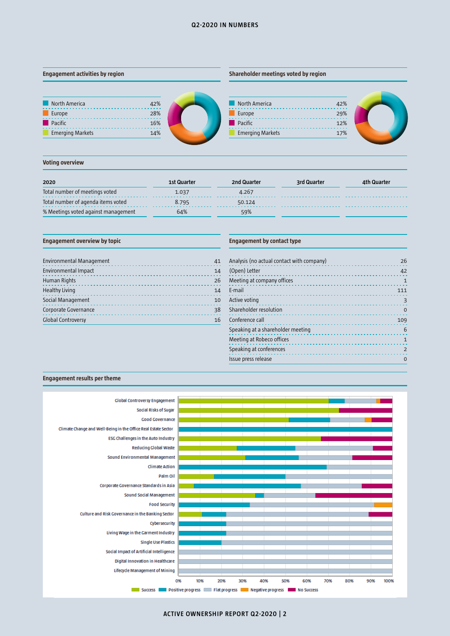## **Q2-2020 IN NUMBERS**

## **Engagement activities by region**

## **Shareholder meetings voted by region**









## **Voting overview**

| 2020                                | 1st Quarter | 2nd Quarter | 3rd Quarter | 4th Quarter |
|-------------------------------------|-------------|-------------|-------------|-------------|
| Total number of meetings voted      | 1.037       | 4.267       |             |             |
| Total number of agenda items voted  | 8.795       | 50.124      |             |             |
| % Meetings voted against management | 64%         | 59%         |             |             |

## **Engagement overview by topic**

| <b>Environmental Management</b> | 41 |
|---------------------------------|----|
| Environmental Impact            | 14 |
| Human Rights                    | 26 |
| <b>Healthy Living</b>           | 14 |
| Social Management               | 10 |
| Corporate Governance            | 38 |
| <b>Global Controversy</b>       | 16 |

## **Engagement by contact type**

| Analysis (no actual contact with company)<br>and a state and the con- | 26             |
|-----------------------------------------------------------------------|----------------|
| (Open) Letter                                                         | 42             |
| Meeting at company offices                                            | $\mathbf{1}$   |
| E-mail                                                                | 111            |
| Active voting                                                         | 3              |
| Shareholder resolution                                                | $\mathbf 0$    |
| Conference call                                                       | 109            |
| Speaking at a shareholder meeting                                     | 6              |
| Meeting at Robeco offices                                             | $\mathbf{1}$   |
| Speaking at conferences                                               | $\overline{2}$ |
| Issue press release                                                   | $\Omega$       |

## **Engagement results per theme**



**ACTIVE OWNERSHIP REPORT Q2-2020 | 2**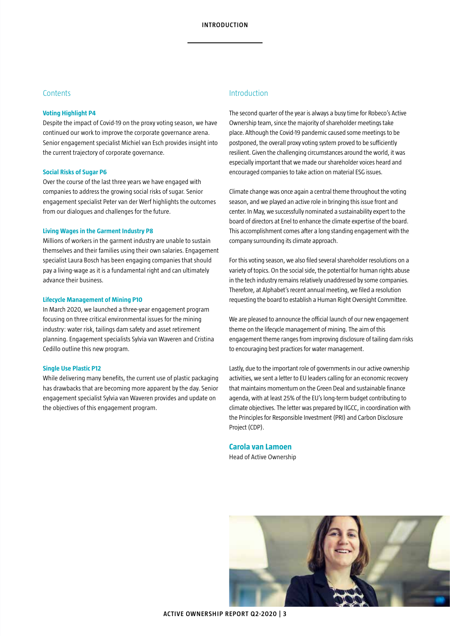## **Contents**

## **Voting Highlight P4**

Despite the impact of Covid-19 on the proxy voting season, we have continued our work to improve the corporate governance arena. Senior engagement specialist Michiel van Esch provides insight into the current trajectory of corporate governance.

## **Social Risks of Sugar P6**

Over the course of the last three years we have engaged with companies to address the growing social risks of sugar. Senior engagement specialist Peter van der Werf highlights the outcomes from our dialogues and challenges for the future.

## **Living Wages in the Garment Industry P8**

Millions of workers in the garment industry are unable to sustain themselves and their families using their own salaries. Engagement specialist Laura Bosch has been engaging companies that should pay a living-wage as it is a fundamental right and can ultimately advance their business.

## **Lifecycle Management of Mining P10**

In March 2020, we launched a three-year engagement program focusing on three critical environmental issues for the mining industry: water risk, tailings dam safety and asset retirement planning. Engagement specialists Sylvia van Waveren and Cristina Cedillo outline this new program.

## **Single Use Plastic P12**

While delivering many benefits, the current use of plastic packaging has drawbacks that are becoming more apparent by the day. Senior engagement specialist Sylvia van Waveren provides and update on the objectives of this engagement program.

## Introduction

The second quarter of the year is always a busy time for Robeco's Active Ownership team, since the majority of shareholder meetings take place. Although the Covid-19 pandemic caused some meetings to be postponed, the overall proxy voting system proved to be sufficiently resilient. Given the challenging circumstances around the world, it was especially important that we made our shareholder voices heard and encouraged companies to take action on material ESG issues.

Climate change was once again a central theme throughout the voting season, and we played an active role in bringing this issue front and center. In May, we successfully nominated a sustainability expert to the board of directors at Enel to enhance the climate expertise of the board. This accomplishment comes after a long standing engagement with the company surrounding its climate approach.

For this voting season, we also filed several shareholder resolutions on a variety of topics. On the social side, the potential for human rights abuse in the tech industry remains relatively unaddressed by some companies. Therefore, at Alphabet's recent annual meeting, we filed a resolution requesting the board to establish a Human Right Oversight Committee.

We are pleased to announce the official launch of our new engagement theme on the lifecycle management of mining. The aim of this engagement theme ranges from improving disclosure of tailing dam risks to encouraging best practices for water management.

Lastly, due to the important role of governments in our active ownership activities, we sent a letter to EU leaders calling for an economic recovery that maintains momentum on the Green Deal and sustainable finance agenda, with at least 25% of the EU's long-term budget contributing to climate objectives. The letter was prepared by IIGCC, in coordination with the Principles for Responsible Investment (PRI) and Carbon Disclosure Project (CDP).

**Carola van Lamoen** Head of Active Ownership

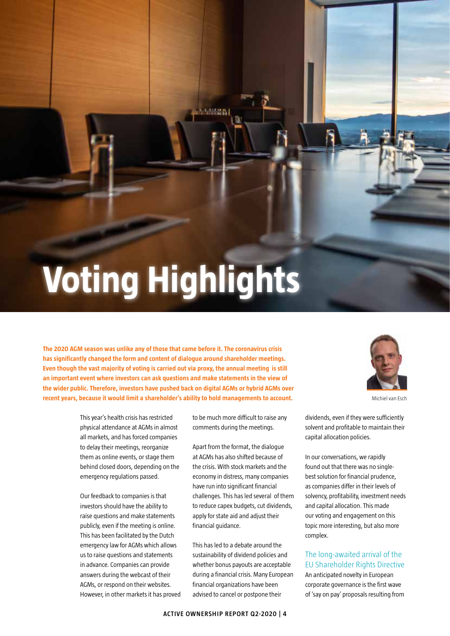# **Voting Highlights**

**The 2020 AGM season was unlike any of those that came before it. The coronavirus crisis has significantly changed the form and content of dialogue around shareholder meetings. Even though the vast majority of voting is carried out via proxy, the annual meeting is still an important event where investors can ask questions and make statements in the view of the wider public. Therefore, investors have pushed back on digital AGMs or hybrid AGMs over recent years, because it would limit a shareholder's ability to hold managements to account.** 

> This year's health crisis has restricted physical attendance at AGMs in almost all markets, and has forced companies to delay their meetings, reorganize them as online events, or stage them behind closed doors, depending on the emergency regulations passed.

> Our feedback to companies is that investors should have the ability to raise questions and make statements publicly, even if the meeting is online. This has been facilitated by the Dutch emergency law for AGMs which allows us to raise questions and statements in advance. Companies can provide answers during the webcast of their AGMs, or respond on their websites. However, in other markets it has proved

to be much more difficult to raise any comments during the meetings.

Apart from the format, the dialogue at AGMs has also shifted because of the crisis. With stock markets and the economy in distress, many companies have run into significant financial challenges. This has led several of them to reduce capex budgets, cut dividends, apply for state aid and adjust their financial guidance.

This has led to a debate around the sustainability of dividend policies and whether bonus payouts are acceptable during a financial crisis. Many European financial organizations have been advised to cancel or postpone their



Michiel van Esch

dividends, even if they were sufficiently solvent and profitable to maintain their capital allocation policies.

In our conversations, we rapidly found out that there was no singlebest solution for financial prudence, as companies differ in their levels of solvency, profitability, investment needs and capital allocation. This made our voting and engagement on this topic more interesting, but also more complex.

## The long-awaited arrival of the EU Shareholder Rights Directive

An anticipated novelty in European corporate governance is the first wave of 'say on pay' proposals resulting from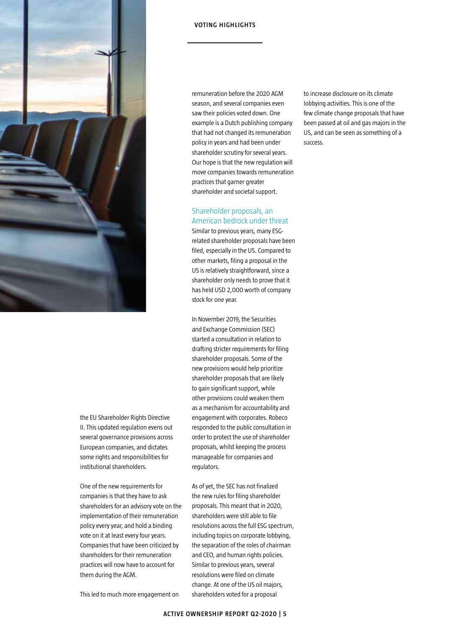

the EU Shareholder Rights Directive II. This updated regulation evens out several governance provisions across European companies, and dictates some rights and responsibilities for institutional shareholders.

One of the new requirements for companies is that they have to ask shareholders for an advisory vote on the implementation of their remuneration policy every year, and hold a binding vote on it at least every four years. Companies that have been criticized by shareholders for their remuneration practices will now have to account for them during the AGM.

**VOTING HIGHLIGHTS**

remuneration before the 2020 AGM season, and several companies even saw their policies voted down. One example is a Dutch publishing company that had not changed its remuneration policy in years and had been under shareholder scrutiny for several years. Our hope is that the new regulation will move companies towards remuneration practices that garner greater shareholder and societal support.

## Shareholder proposals, an American bedrock under threat

Similar to previous years, many ESGrelated shareholder proposals have been filed, especially in the US. Compared to other markets, filing a proposal in the US is relatively straightforward, since a shareholder only needs to prove that it has held USD 2,000 worth of company stock for one year.

In November 2019, the Securities and Exchange Commission (SEC) started a consultation in relation to drafting stricter requirements for filing shareholder proposals. Some of the new provisions would help prioritize shareholder proposals that are likely to gain significant support, while other provisions could weaken them as a mechanism for accountability and engagement with corporates. Robeco responded to the public consultation in order to protect the use of shareholder proposals, whilst keeping the process manageable for companies and regulators.

As of yet, the SEC has not finalized the new rules for filing shareholder proposals. This meant that in 2020, shareholders were still able to file resolutions across the full ESG spectrum, including topics on corporate lobbying, the separation of the roles of chairman and CEO, and human rights policies. Similar to previous years, several resolutions were filed on climate change. At one of the US oil majors, shareholders voted for a proposal

to increase disclosure on its climate lobbying activities. This is one of the few climate change proposals that have been passed at oil and gas majors in the US, and can be seen as something of a success.

This led to much more engagement on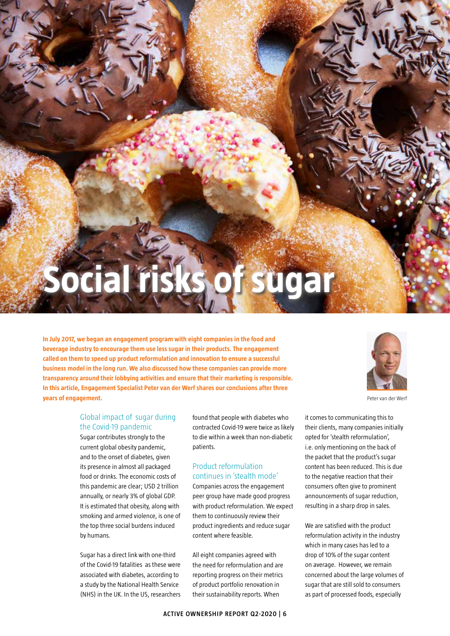# **Social risks of sugar**

**CLIMATE ACTION**

**In July 2017, we began an engagement program with eight companies in the food and beverage industry to encourage them use less sugar in their products. The engagement called on them to speed up product reformulation and innovation to ensure a successful business model in the long run. We also discussed how these companies can provide more transparency around their lobbying activities and ensure that their marketing is responsible. In this article, Engagement Specialist Peter van der Werf shares our conclusions after three years of engagement.**



Peter van der Werf

## Global impact of sugar during the Covid-19 pandemic

Sugar contributes strongly to the current global obesity pandemic, and to the onset of diabetes, given its presence in almost all packaged food or drinks. The economic costs of this pandemic are clear; USD 2 trillion annually, or nearly 3% of global GDP. It is estimated that obesity, along with smoking and armed violence, is one of the top three social burdens induced by humans.

Sugar has a direct link with one-third of the Covid-19 fatalities as these were associated with diabetes, according to a study by the National Health Service (NHS) in the UK. In the US, researchers

found that people with diabetes who contracted Covid-19 were twice as likely to die within a week than non-diabetic patients.

## Product reformulation continues in 'stealth mode'

Companies across the engagement peer group have made good progress with product reformulation. We expect them to continuously review their product ingredients and reduce sugar content where feasible.

All eight companies agreed with the need for reformulation and are reporting progress on their metrics of product portfolio renovation in their sustainability reports. When

it comes to communicating this to their clients, many companies initially opted for 'stealth reformulation', i.e. only mentioning on the back of the packet that the product's sugar content has been reduced. This is due to the negative reaction that their consumers often give to prominent announcements of sugar reduction, resulting in a sharp drop in sales.

We are satisfied with the product reformulation activity in the industry which in many cases has led to a drop of 10% of the sugar content on average. However, we remain concerned about the large volumes of sugar that are still sold to consumers as part of processed foods, especially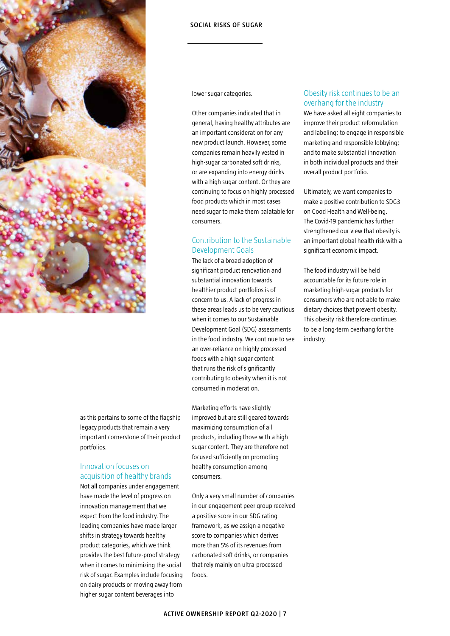

## **SOCIAL RISKS OF SUGAR**

lower sugar categories.

Other companies indicated that in general, having healthy attributes are an important consideration for any new product launch. However, some companies remain heavily vested in high-sugar carbonated soft drinks, or are expanding into energy drinks with a high sugar content. Or they are continuing to focus on highly processed food products which in most cases need sugar to make them palatable for consumers.

## Contribution to the Sustainable Development Goals

The lack of a broad adoption of significant product renovation and substantial innovation towards healthier product portfolios is of concern to us. A lack of progress in these areas leads us to be very cautious when it comes to our Sustainable Development Goal (SDG) assessments in the food industry. We continue to see an over-reliance on highly processed foods with a high sugar content that runs the risk of significantly contributing to obesity when it is not consumed in moderation.

as this pertains to some of the flagship legacy products that remain a very important cornerstone of their product portfolios.

## Innovation focuses on acquisition of healthy brands

Not all companies under engagement have made the level of progress on innovation management that we expect from the food industry. The leading companies have made larger shifts in strategy towards healthy product categories, which we think provides the best future-proof strategy when it comes to minimizing the social risk of sugar. Examples include focusing on dairy products or moving away from higher sugar content beverages into

Marketing efforts have slightly improved but are still geared towards maximizing consumption of all products, including those with a high sugar content. They are therefore not focused sufficiently on promoting healthy consumption among consumers.

Only a very small number of companies in our engagement peer group received a positive score in our SDG rating framework, as we assign a negative score to companies which derives more than 5% of its revenues from carbonated soft drinks, or companies that rely mainly on ultra-processed foods.

## Obesity risk continues to be an overhang for the industry

We have asked all eight companies to improve their product reformulation and labeling; to engage in responsible marketing and responsible lobbying; and to make substantial innovation in both individual products and their overall product portfolio.

Ultimately, we want companies to make a positive contribution to SDG3 on Good Health and Well-being. The Covid-19 pandemic has further strengthened our view that obesity is an important global health risk with a significant economic impact.

The food industry will be held accountable for its future role in marketing high-sugar products for consumers who are not able to make dietary choices that prevent obesity. This obesity risk therefore continues to be a long-term overhang for the industry.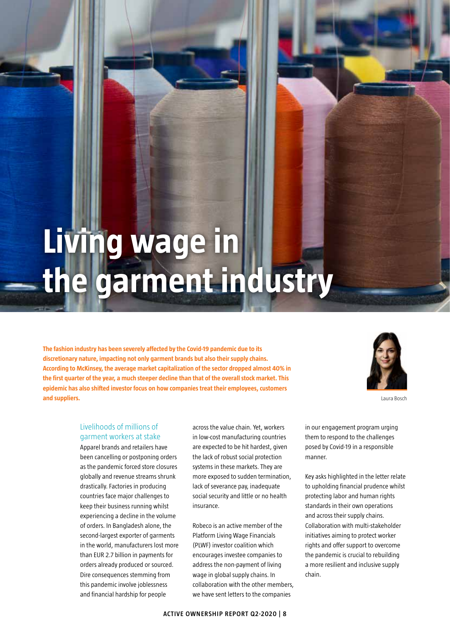## **Living wage in the garment industry**

**The fashion industry has been severely affected by the Covid-19 pandemic due to its discretionary nature, impacting not only garment brands but also their supply chains. According to McKinsey, the average market capitalization of the sector dropped almost 40% in the first quarter of the year, a much steeper decline than that of the overall stock market. This epidemic has also shifted investor focus on how companies treat their employees, customers and suppliers.** 



Laura Bosch

## Livelihoods of millions of garment workers at stake

Apparel brands and retailers have been cancelling or postponing orders as the pandemic forced store closures globally and revenue streams shrunk drastically. Factories in producing countries face major challenges to keep their business running whilst experiencing a decline in the volume of orders. In Bangladesh alone, the second-largest exporter of garments in the world, manufacturers lost more than EUR 2.7 billion in payments for orders already produced or sourced. Dire consequences stemming from this pandemic involve joblessness and financial hardship for people

across the value chain. Yet, workers in low-cost manufacturing countries are expected to be hit hardest, given the lack of robust social protection systems in these markets. They are more exposed to sudden termination, lack of severance pay, inadequate social security and little or no health insurance.

Robeco is an active member of the Platform Living Wage Financials (PLWF) investor coalition which encourages investee companies to address the non-payment of living wage in global supply chains. In collaboration with the other members, we have sent letters to the companies

in our engagement program urging them to respond to the challenges posed by Covid-19 in a responsible manner.

Key asks highlighted in the letter relate to upholding financial prudence whilst protecting labor and human rights standards in their own operations and across their supply chains. Collaboration with multi-stakeholder initiatives aiming to protect worker rights and offer support to overcome the pandemic is crucial to rebuilding a more resilient and inclusive supply chain.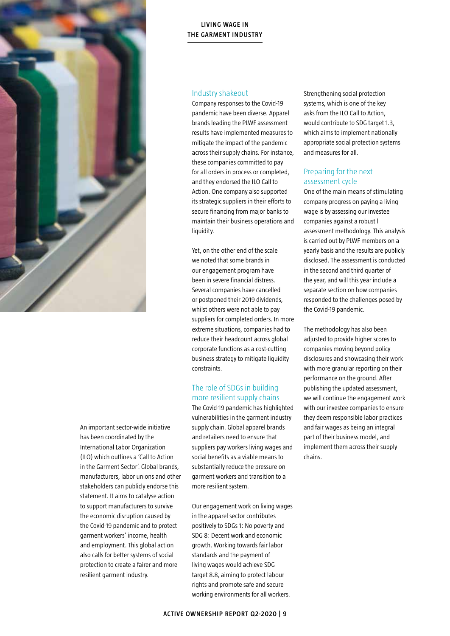

## **LIVING WAGE IN THE GARMENT INDUSTRY**

## Industry shakeout

Company responses to the Covid-19 pandemic have been diverse. Apparel brands leading the PLWF assessment results have implemented measures to mitigate the impact of the pandemic across their supply chains. For instance, these companies committed to pay for all orders in process or completed, and they endorsed the ILO Call to Action. One company also supported its strategic suppliers in their efforts to secure financing from major banks to maintain their business operations and liquidity.

Yet, on the other end of the scale we noted that some brands in our engagement program have been in severe financial distress. Several companies have cancelled or postponed their 2019 dividends, whilst others were not able to pay suppliers for completed orders. In more extreme situations, companies had to reduce their headcount across global corporate functions as a cost-cutting business strategy to mitigate liquidity constraints.

## The role of SDGs in building more resilient supply chains

The Covid-19 pandemic has highlighted vulnerabilities in the garment industry supply chain. Global apparel brands and retailers need to ensure that suppliers pay workers living wages and social benefits as a viable means to substantially reduce the pressure on garment workers and transition to a more resilient system.

Our engagement work on living wages in the apparel sector contributes positively to SDGs 1: No poverty and SDG 8: Decent work and economic growth. Working towards fair labor standards and the payment of living wages would achieve SDG target 8.8, aiming to protect labour rights and promote safe and secure working environments for all workers.

Strengthening social protection systems, which is one of the key asks from the ILO Call to Action, would contribute to SDG target 1.3, which aims to implement nationally appropriate social protection systems and measures for all.

## Preparing for the next assessment cycle

One of the main means of stimulating company progress on paying a living wage is by assessing our investee companies against a robust l assessment methodology. This analysis is carried out by PLWF members on a yearly basis and the results are publicly disclosed. The assessment is conducted in the second and third quarter of the year, and will this year include a separate section on how companies responded to the challenges posed by the Covid-19 pandemic.

The methodology has also been adjusted to provide higher scores to companies moving beyond policy disclosures and showcasing their work with more granular reporting on their performance on the ground. After publishing the updated assessment, we will continue the engagement work with our investee companies to ensure they deem responsible labor practices and fair wages as being an integral part of their business model, and implement them across their supply chains.

An important sector-wide initiative has been coordinated by the International Labor Organization (ILO) which outlines a 'Call to Action in the Garment Sector'. Global brands, manufacturers, labor unions and other stakeholders can publicly endorse this statement. It aims to catalyse action to support manufacturers to survive the economic disruption caused by the Covid-19 pandemic and to protect garment workers' income, health and employment. This global action also calls for better systems of social protection to create a fairer and more resilient garment industry.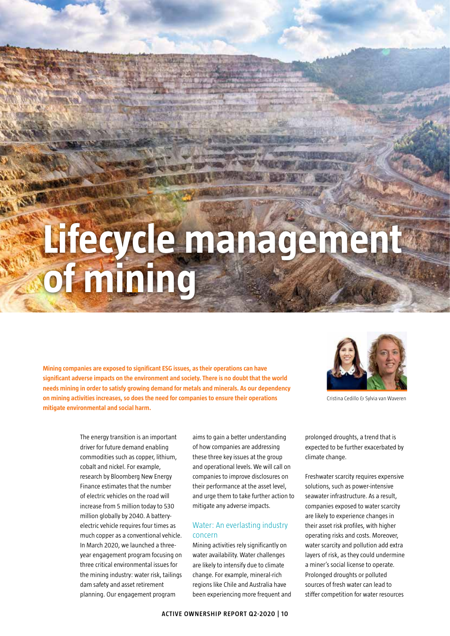## **Lifecycle management of mining**

**Mining companies are exposed to significant ESG issues, as their operations can have significant adverse impacts on the environment and society. There is no doubt that the world needs mining in order to satisfy growing demand for metals and minerals. As our dependency on mining activities increases, so does the need for companies to ensure their operations mitigate environmental and social harm.** 



Cristina Cedillo & Sylvia van Waveren

The energy transition is an important driver for future demand enabling commodities such as copper, lithium, cobalt and nickel. For example, research by Bloomberg New Energy Finance estimates that the number of electric vehicles on the road will increase from 5 million today to 530 million globally by 2040. A batteryelectric vehicle requires four times as much copper as a conventional vehicle. In March 2020, we launched a threeyear engagement program focusing on three critical environmental issues for the mining industry: water risk, tailings dam safety and asset retirement planning. Our engagement program

aims to gain a better understanding of how companies are addressing these three key issues at the group and operational levels. We will call on companies to improve disclosures on their performance at the asset level, and urge them to take further action to mitigate any adverse impacts.

## Water: An everlasting industry concern

Mining activities rely significantly on water availability. Water challenges are likely to intensify due to climate change. For example, mineral-rich regions like Chile and Australia have been experiencing more frequent and prolonged droughts, a trend that is expected to be further exacerbated by climate change.

Freshwater scarcity requires expensive solutions, such as power-intensive seawater infrastructure. As a result, companies exposed to water scarcity are likely to experience changes in their asset risk profiles, with higher operating risks and costs. Moreover, water scarcity and pollution add extra layers of risk, as they could undermine a miner's social license to operate. Prolonged droughts or polluted sources of fresh water can lead to stiffer competition for water resources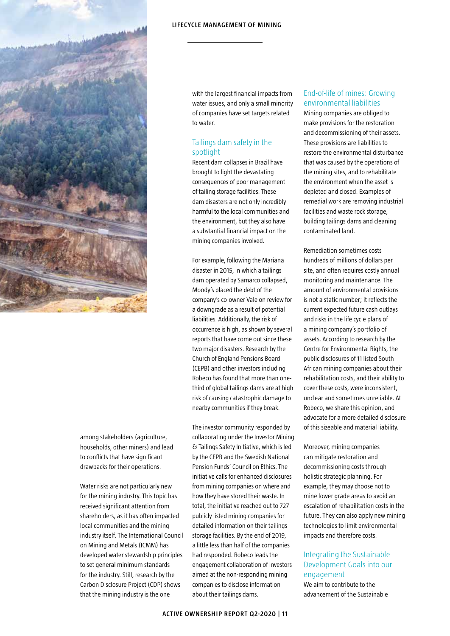

among stakeholders (agriculture, households, other miners) and lead to conflicts that have significant drawbacks for their operations.

Water risks are not particularly new for the mining industry. This topic has received significant attention from shareholders, as it has often impacted local communities and the mining industry itself. The International Council on Mining and Metals (ICMM) has developed water stewardship principles to set general minimum standards for the industry. Still, research by the Carbon Disclosure Project (CDP) shows that the mining industry is the one

with the largest financial impacts from water issues, and only a small minority of companies have set targets related to water.

## Tailings dam safety in the spotlight

Recent dam collapses in Brazil have brought to light the devastating consequences of poor management of tailing storage facilities. These dam disasters are not only incredibly harmful to the local communities and the environment, but they also have a substantial financial impact on the mining companies involved.

For example, following the Mariana disaster in 2015, in which a tailings dam operated by Samarco collapsed, Moody's placed the debt of the company's co-owner Vale on review for a downgrade as a result of potential liabilities. Additionally, the risk of occurrence is high, as shown by several reports that have come out since these two major disasters. Research by the Church of England Pensions Board (CEPB) and other investors including Robeco has found that more than onethird of global tailings dams are at high risk of causing catastrophic damage to nearby communities if they break.

The investor community responded by collaborating under the Investor Mining & Tailings Safety Initiative, which is led by the CEPB and the Swedish National Pension Funds' Council on Ethics. The initiative calls for enhanced disclosures from mining companies on where and how they have stored their waste. In total, the initiative reached out to 727 publicly listed mining companies for detailed information on their tailings storage facilities. By the end of 2019, a little less than half of the companies had responded. Robeco leads the engagement collaboration of investors aimed at the non-responding mining companies to disclose information about their tailings dams.

## End-of-life of mines: Growing environmental liabilities

Mining companies are obliged to make provisions for the restoration and decommissioning of their assets. These provisions are liabilities to restore the environmental disturbance that was caused by the operations of the mining sites, and to rehabilitate the environment when the asset is depleted and closed. Examples of remedial work are removing industrial facilities and waste rock storage, building tailings dams and cleaning contaminated land.

Remediation sometimes costs hundreds of millions of dollars per site, and often requires costly annual monitoring and maintenance. The amount of environmental provisions is not a static number; it reflects the current expected future cash outlays and risks in the life cycle plans of a mining company's portfolio of assets. According to research by the Centre for Environmental Rights, the public disclosures of 11 listed South African mining companies about their rehabilitation costs, and their ability to cover these costs, were inconsistent, unclear and sometimes unreliable. At Robeco, we share this opinion, and advocate for a more detailed disclosure of this sizeable and material liability.

Moreover, mining companies can mitigate restoration and decommissioning costs through holistic strategic planning. For example, they may choose not to mine lower grade areas to avoid an escalation of rehabilitation costs in the future. They can also apply new mining technologies to limit environmental impacts and therefore costs.

## Integrating the Sustainable Development Goals into our engagement

We aim to contribute to the advancement of the Sustainable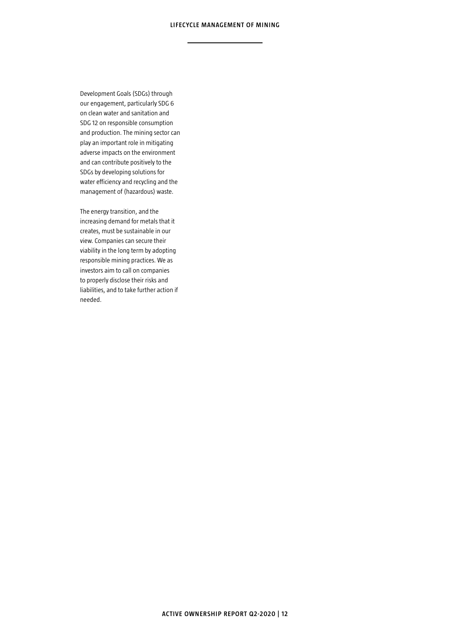Development Goals (SDGs) through our engagement, particularly SDG 6 on clean water and sanitation and SDG 12 on responsible consumption and production. The mining sector can play an important role in mitigating adverse impacts on the environment and can contribute positively to the SDGs by developing solutions for water efficiency and recycling and the management of (hazardous) waste.

The energy transition, and the increasing demand for metals that it creates, must be sustainable in our view. Companies can secure their viability in the long term by adopting responsible mining practices. We as investors aim to call on companies to properly disclose their risks and liabilities, and to take further action if needed.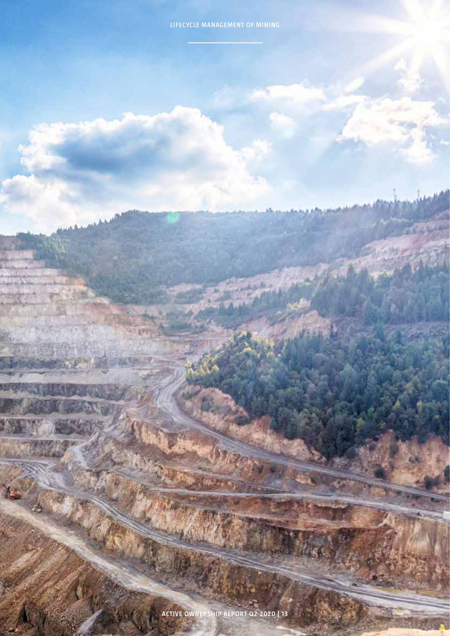**ACTIVE OWNERSHIP REPORT Q2-2020 | 13**

a v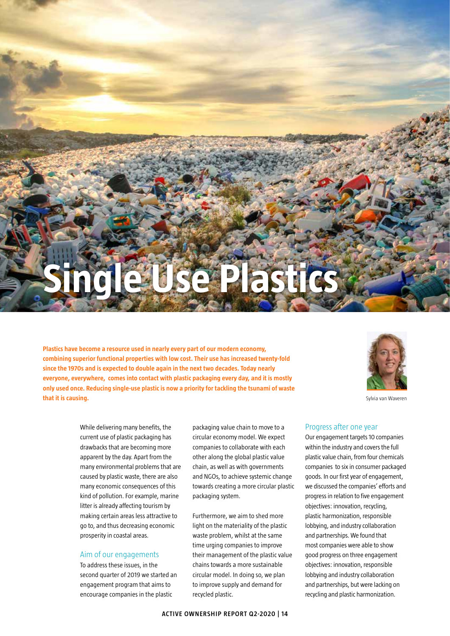# **Single Use Plastics**

**Plastics have become a resource used in nearly every part of our modern economy, combining superior functional properties with low cost. Their use has increased twenty-fold since the 1970s and is expected to double again in the next two decades. Today nearly everyone, everywhere, comes into contact with plastic packaging every day, and it is mostly only used once. Reducing single-use plastic is now a priority for tackling the tsunami of waste that it is causing.**



Sylvia van Waveren

While delivering many benefits, the current use of plastic packaging has drawbacks that are becoming more apparent by the day. Apart from the many environmental problems that are caused by plastic waste, there are also many economic consequences of this kind of pollution. For example, marine litter is already affecting tourism by making certain areas less attractive to go to, and thus decreasing economic prosperity in coastal areas.

## Aim of our engagements

To address these issues, in the second quarter of 2019 we started an engagement program that aims to encourage companies in the plastic

packaging value chain to move to a circular economy model. We expect companies to collaborate with each other along the global plastic value chain, as well as with governments and NGOs, to achieve systemic change towards creating a more circular plastic packaging system.

Furthermore, we aim to shed more light on the materiality of the plastic waste problem, whilst at the same time urging companies to improve their management of the plastic value chains towards a more sustainable circular model. In doing so, we plan to improve supply and demand for recycled plastic.

## Progress after one year

Our engagement targets 10 companies within the industry and covers the full plastic value chain, from four chemicals companies to six in consumer packaged goods. In our first year of engagement, we discussed the companies' efforts and progress in relation to five engagement objectives: innovation, recycling, plastic harmonization, responsible lobbying, and industry collaboration and partnerships. We found that most companies were able to show good progress on three engagement objectives: innovation, responsible lobbying and industry collaboration and partnerships, but were lacking on recycling and plastic harmonization.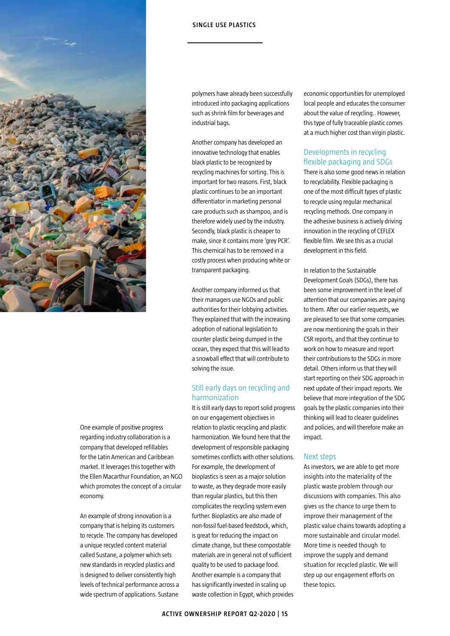

polymers have already been successfully introduced into packaging applications such as shrink film for beverages and industrial bags.

Another company has developed an innovative technology that enables black plastic to be recognized by recycling machines for sorting. This is important for two reasons. First, black plastic continues to be an important differentiator in marketing personal care products such as shampoo, and is therefore widely used by the industry. Secondly, black plastic is cheaper to make, since it contains more 'grey PCR'. This chemical has to be removed in a costly process when producing white or transparent packaging.

Another company informed us that their managers use NGOs and public authorities for their lobbying activities. They explained that with the increasing adoption of national legislation to counter plastic being dumped in the ocean, they expect that this will lead to a snowball effect that will contribute to solving the issue.

## Still early days on recycling and harmonization

It is still early days to report solid progress on our engagement objectives in relation to plastic recycling and plastic harmonization. We found here that the development of responsible packaging sometimes conflicts with other solutions. For example, the development of bioplastics is seen as a major solution to waste, as they degrade more easily than regular plastics, but this then complicates the recycling system even further. Bioplastics are also made of non-fossil fuel-based feedstock, which, is great for reducing the impact on climate change, but these compostable materials are in general not of sufficient quality to be used to package food. Another example is a company that has significantly invested in scaling up waste collection in Egypt, which provides

economic opportunities for unemployed local people and educates the consumer about the value of recycling.. However, this type of fully traceable plastic comes at a much higher cost than virgin plastic.

## Developments in recycling flexible packaging and SDGs

There is also some good news in relation to recyclability. Flexible packaging is one of the most difficult types of plastic to recycle using regular mechanical recycling methods. One company in the adhesive business is actively driving innovation in the recycling of CEFLEX flexible film. We see this as a crucial development in this field.

In relation to the Sustainable Development Goals (SDGs), there has been some improvement in the level of attention that our companies are paying to them. After our earlier requests, we are pleased to see that some companies are now mentioning the goals in their CSR reports, and that they continue to work on how to measure and report their contributions to the SDGs in more detail. Others inform us that they will start reporting on their SDG approach in next update of their impact reports. We believe that more integration of the SDG goals by the plastic companies into their thinking will lead to clearer guidelines and policies, and will therefore make an impact.

## Next steps

As investors, we are able to get more insights into the materiality of the plastic waste problem through our discussions with companies. This also gives us the chance to urge them to improve their management of the plastic value chains towards adopting a more sustainable and circular model. More time is needed though to improve the supply and demand situation for recycled plastic. We will step up our engagement efforts on these topics.

One example of positive progress regarding industry collaboration is a company that developed refillables for the Latin American and Caribbean market. It leverages this together with the Ellen Macarthur Foundation, an NGO which promotes the concept of a circular economy.

An example of strong innovation is a company that is helping its customers to recycle. The company has developed a unique recycled content material called Sustane, a polymer which sets new standards in recycled plastics and is designed to deliver consistently high levels of technical performance across a wide spectrum of applications. Sustane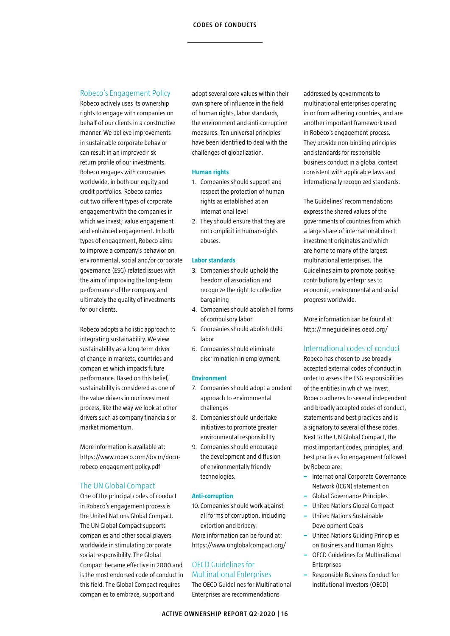## Robeco's Engagement Policy

Robeco actively uses its ownership rights to engage with companies on behalf of our clients in a constructive manner. We believe improvements in sustainable corporate behavior can result in an improved risk return profile of our investments. Robeco engages with companies worldwide, in both our equity and credit portfolios. Robeco carries out two different types of corporate engagement with the companies in which we invest; value engagement and enhanced engagement. In both types of engagement, Robeco aims to improve a company's behavior on environmental, social and/or corporate governance (ESG) related issues with the aim of improving the long-term performance of the company and ultimately the quality of investments for our clients.

Robeco adopts a holistic approach to integrating sustainability. We view sustainability as a long-term driver of change in markets, countries and companies which impacts future performance. Based on this belief, sustainability is considered as one of the value drivers in our investment process, like the way we look at other drivers such as company financials or market momentum.

More information is available at: https://www.robeco.com/docm/docurobeco-engagement-policy.pdf

## The UN Global Compact

One of the principal codes of conduct in Robeco's engagement process is the United Nations Global Compact. The UN Global Compact supports companies and other social players worldwide in stimulating corporate social responsibility. The Global Compact became effective in 2000 and is the most endorsed code of conduct in this field. The Global Compact requires companies to embrace, support and

adopt several core values within their own sphere of influence in the field of human rights, labor standards, the environment and anti-corruption measures. Ten universal principles have been identified to deal with the challenges of globalization.

## **Human rights**

- 1. Companies should support and respect the protection of human rights as established at an international level
- 2. They should ensure that they are not complicit in human-rights abuses.

## **Labor standards**

- 3. Companies should uphold the freedom of association and recognize the right to collective bargaining
- 4. Companies should abolish all forms of compulsory labor
- 5. Companies should abolish child labor
- 6. Companies should eliminate discrimination in employment.

## **Environment**

- 7. Companies should adopt a prudent approach to environmental challenges
- 8. Companies should undertake initiatives to promote greater environmental responsibility
- 9. Companies should encourage the development and diffusion of environmentally friendly technologies.

## **Anti-corruption**

10. Companies should work against all forms of corruption, including extortion and bribery. More information can be found at: https://www.unglobalcompact.org/

## OECD Guidelines for Multinational Enterprises

The OECD Guidelines for Multinational Enterprises are recommendations

addressed by governments to multinational enterprises operating in or from adhering countries, and are another important framework used in Robeco's engagement process. They provide non-binding principles and standards for responsible business conduct in a global context consistent with applicable laws and internationally recognized standards.

The Guidelines' recommendations express the shared values of the governments of countries from which a large share of international direct investment originates and which are home to many of the largest multinational enterprises. The Guidelines aim to promote positive contributions by enterprises to economic, environmental and social progress worldwide.

More information can be found at: http://mneguidelines.oecd.org/

## International codes of conduct

Robeco has chosen to use broadly accepted external codes of conduct in order to assess the ESG responsibilities of the entities in which we invest. Robeco adheres to several independent and broadly accepted codes of conduct, statements and best practices and is a signatory to several of these codes. Next to the UN Global Compact, the most important codes, principles, and best practices for engagement followed by Robeco are:

- **–** International Corporate Governance Network (ICGN) statement on
- **–** Global Governance Principles
- **–** United Nations Global Compact
- **–** United Nations Sustainable Development Goals
- **–** United Nations Guiding Principles on Business and Human Rights
- **–** OECD Guidelines for Multinational Enterprises
- **–** Responsible Business Conduct for Institutional Investors (OECD)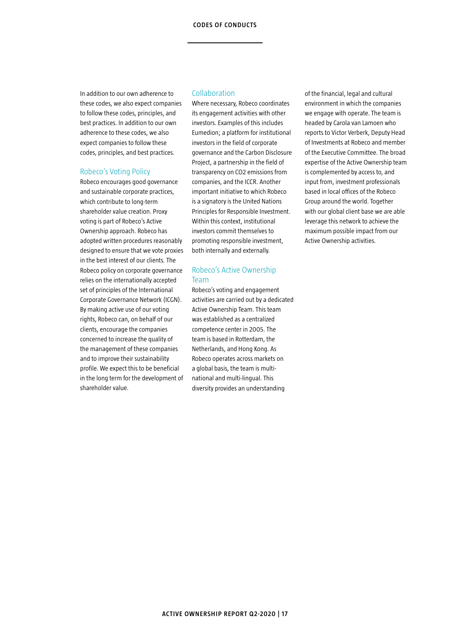In addition to our own adherence to these codes, we also expect companies to follow these codes, principles, and best practices. In addition to our own adherence to these codes, we also expect companies to follow these codes, principles, and best practices.

## Robeco's Voting Policy

Robeco encourages good governance and sustainable corporate practices, which contribute to long-term shareholder value creation. Proxy voting is part of Robeco's Active Ownership approach. Robeco has adopted written procedures reasonably designed to ensure that we vote proxies in the best interest of our clients. The Robeco policy on corporate governance relies on the internationally accepted set of principles of the International Corporate Governance Network (ICGN). By making active use of our voting rights, Robeco can, on behalf of our clients, encourage the companies concerned to increase the quality of the management of these companies and to improve their sustainability profile. We expect this to be beneficial in the long term for the development of shareholder value.

## Collaboration

Where necessary, Robeco coordinates its engagement activities with other investors. Examples of this includes Eumedion; a platform for institutional investors in the field of corporate governance and the Carbon Disclosure Project, a partnership in the field of transparency on CO2 emissions from companies, and the ICCR. Another important initiative to which Robeco is a signatory is the United Nations Principles for Responsible Investment. Within this context, institutional investors commit themselves to promoting responsible investment, both internally and externally.

## Robeco's Active Ownership Team

Robeco's voting and engagement activities are carried out by a dedicated Active Ownership Team. This team was established as a centralized competence center in 2005. The team is based in Rotterdam, the Netherlands, and Hong Kong. As Robeco operates across markets on a global basis, the team is multinational and multi-lingual. This diversity provides an understanding

of the financial, legal and cultural environment in which the companies we engage with operate. The team is headed by Carola van Lamoen who reports to Victor Verberk, Deputy Head of Investments at Robeco and member of the Executive Committee. The broad expertise of the Active Ownership team is complemented by access to, and input from, investment professionals based in local offices of the Robeco Group around the world. Together with our global client base we are able leverage this network to achieve the maximum possible impact from our Active Ownership activities.